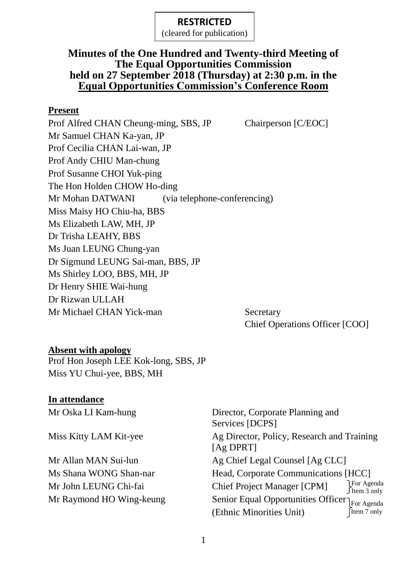(cleared for publication)

## **Minutes of the One Hundred and Twenty-third Meeting of The Equal Opportunities Commission held on 27 September 2018 (Thursday) at 2:30 p.m. in the Equal Opportunities Commission's Conference Room**

#### **Present**

Prof Alfred CHAN Cheung-ming, SBS, JP Chairperson [C/EOC] Mr Samuel CHAN Ka-yan, JP Prof Cecilia CHAN Lai-wan, JP Prof Andy CHIU Man-chung Prof Susanne CHOI Yuk-ping The Hon Holden CHOW Ho-ding Mr Mohan DATWANI (via telephone-conferencing) Miss Maisy HO Chiu-ha, BBS Ms Elizabeth LAW, MH, JP Dr Trisha LEAHY, BBS Ms Juan LEUNG Chung-yan Dr Sigmund LEUNG Sai-man, BBS, JP Ms Shirley LOO, BBS, MH, JP Dr Henry SHIE Wai-hung Dr Rizwan ULLAH Mr Michael CHAN Yick-man Secretary

Chief Operations Officer [COO]

#### **Absent with apology**

Prof Hon Joseph LEE Kok-long, SBS, JP Miss YU Chui-yee, BBS, MH

#### **In attendance**

| Mr Oska LI Kam-hung      | Director, Corporate Planning and<br>Services [DCPS]       |                            |
|--------------------------|-----------------------------------------------------------|----------------------------|
| Miss Kitty LAM Kit-yee   | Ag Director, Policy, Research and Training<br>$[Ag$ DPRT] |                            |
| Mr Allan MAN Sui-lun     | Ag Chief Legal Counsel [Ag CLC]                           |                            |
| Ms Shana WONG Shan-nar   | Head, Corporate Communications [HCC]                      |                            |
| Mr John LEUNG Chi-fai    | <b>Chief Project Manager [CPM]</b>                        | Por Agenda<br>∫Item 3 only |
| Mr Raymond HO Wing-keung | Senior Equal Opportunities Officer                        |                            |
|                          | (Ethnic Minorities Unit)                                  | For Agenda<br>[Item 7 only |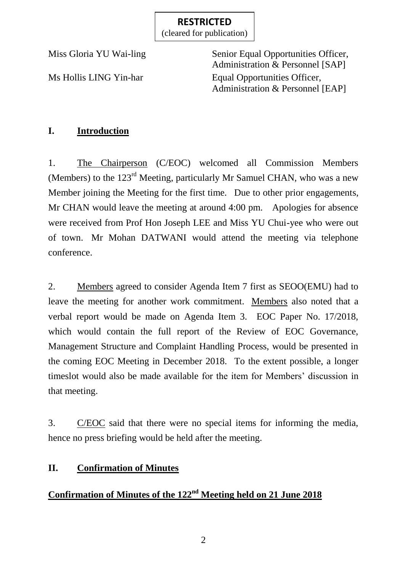(cleared for publication)

Miss Gloria YU Wai-ling Senior Equal Opportunities Officer, Administration & Personnel [SAP] Ms Hollis LING Yin-har Equal Opportunities Officer, Administration & Personnel [EAP]

## **I. Introduction**

1. The Chairperson (C/EOC) welcomed all Commission Members (Members) to the  $123<sup>rd</sup>$  Meeting, particularly Mr Samuel CHAN, who was a new Member joining the Meeting for the first time. Due to other prior engagements, Mr CHAN would leave the meeting at around 4:00 pm. Apologies for absence were received from Prof Hon Joseph LEE and Miss YU Chui-yee who were out of town. Mr Mohan DATWANI would attend the meeting via telephone conference.

2. Members agreed to consider Agenda Item 7 first as SEOO(EMU) had to leave the meeting for another work commitment. Members also noted that a verbal report would be made on Agenda Item 3. EOC Paper No. 17/2018, which would contain the full report of the Review of EOC Governance, Management Structure and Complaint Handling Process, would be presented in the coming EOC Meeting in December 2018. To the extent possible, a longer timeslot would also be made available for the item for Members' discussion in that meeting.

3. C/EOC said that there were no special items for informing the media, hence no press briefing would be held after the meeting.

## **II. Confirmation of Minutes**

## **Confirmation of Minutes of the 122<sup>nd</sup> Meeting held on 21 June 2018**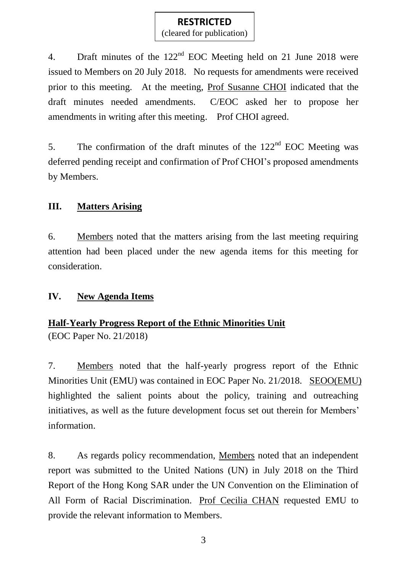(cleared for publication)

4. Draft minutes of the 122<sup>nd</sup> EOC Meeting held on 21 June 2018 were issued to Members on 20 July 2018. No requests for amendments were received prior to this meeting. At the meeting, Prof Susanne CHOI indicated that the draft minutes needed amendments. C/EOC asked her to propose her amendments in writing after this meeting. Prof CHOI agreed.

5. The confirmation of the draft minutes of the  $122<sup>nd</sup>$  EOC Meeting was deferred pending receipt and confirmation of Prof CHOI's proposed amendments by Members.

## **III. Matters Arising**

6. Members noted that the matters arising from the last meeting requiring attention had been placed under the new agenda items for this meeting for consideration.

## **IV. New Agenda Items**

## **Half-Yearly Progress Report of the Ethnic Minorities Unit**

(EOC Paper No. 21/2018)

7. Members noted that the half-yearly progress report of the Ethnic Minorities Unit (EMU) was contained in EOC Paper No. 21/2018. SEOO(EMU) highlighted the salient points about the policy, training and outreaching initiatives, as well as the future development focus set out therein for Members' information.

8. As regards policy recommendation, Members noted that an independent report was submitted to the United Nations (UN) in July 2018 on the Third Report of the Hong Kong SAR under the UN Convention on the Elimination of All Form of Racial Discrimination. Prof Cecilia CHAN requested EMU to provide the relevant information to Members.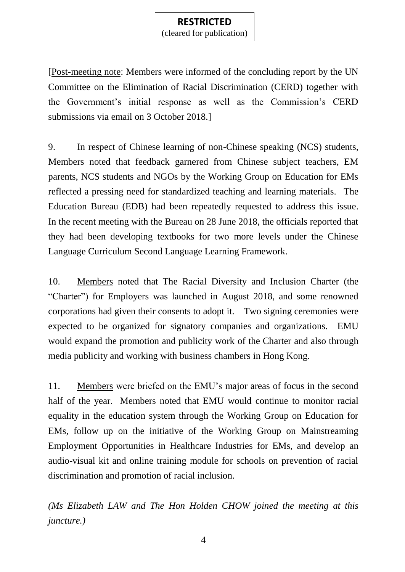(cleared for publication)

[Post-meeting note: Members were informed of the concluding report by the UN Committee on the Elimination of Racial Discrimination (CERD) together with the Government's initial response as well as the Commission's CERD submissions via email on 3 October 2018.]

9. In respect of Chinese learning of non-Chinese speaking (NCS) students, Members noted that feedback garnered from Chinese subject teachers, EM parents, NCS students and NGOs by the Working Group on Education for EMs reflected a pressing need for standardized teaching and learning materials. The Education Bureau (EDB) had been repeatedly requested to address this issue. In the recent meeting with the Bureau on 28 June 2018, the officials reported that they had been developing textbooks for two more levels under the Chinese Language Curriculum Second Language Learning Framework.

10. Members noted that The Racial Diversity and Inclusion Charter (the "Charter") for Employers was launched in August 2018, and some renowned corporations had given their consents to adopt it. Two signing ceremonies were expected to be organized for signatory companies and organizations. EMU would expand the promotion and publicity work of the Charter and also through media publicity and working with business chambers in Hong Kong.

11. Members were briefed on the EMU's major areas of focus in the second half of the year. Members noted that EMU would continue to monitor racial equality in the education system through the Working Group on Education for EMs, follow up on the initiative of the Working Group on Mainstreaming Employment Opportunities in Healthcare Industries for EMs, and develop an audio-visual kit and online training module for schools on prevention of racial discrimination and promotion of racial inclusion.

*(Ms Elizabeth LAW and The Hon Holden CHOW joined the meeting at this juncture.)*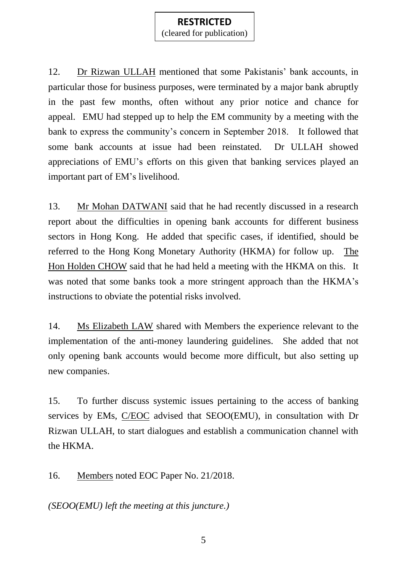(cleared for publication)

12. Dr Rizwan ULLAH mentioned that some Pakistanis' bank accounts, in particular those for business purposes, were terminated by a major bank abruptly in the past few months, often without any prior notice and chance for appeal. EMU had stepped up to help the EM community by a meeting with the bank to express the community's concern in September 2018. It followed that some bank accounts at issue had been reinstated. Dr ULLAH showed appreciations of EMU's efforts on this given that banking services played an important part of EM's livelihood.

13. Mr Mohan DATWANI said that he had recently discussed in a research report about the difficulties in opening bank accounts for different business sectors in Hong Kong. He added that specific cases, if identified, should be referred to the Hong Kong Monetary Authority (HKMA) for follow up. The Hon Holden CHOW said that he had held a meeting with the HKMA on this. It was noted that some banks took a more stringent approach than the HKMA's instructions to obviate the potential risks involved.

14. Ms Elizabeth LAW shared with Members the experience relevant to the implementation of the anti-money laundering guidelines. She added that not only opening bank accounts would become more difficult, but also setting up new companies.

15. To further discuss systemic issues pertaining to the access of banking services by EMs, C/EOC advised that SEOO(EMU), in consultation with Dr Rizwan ULLAH, to start dialogues and establish a communication channel with the HKMA.

16. Members noted EOC Paper No. 21/2018.

*(SEOO(EMU) left the meeting at this juncture.)*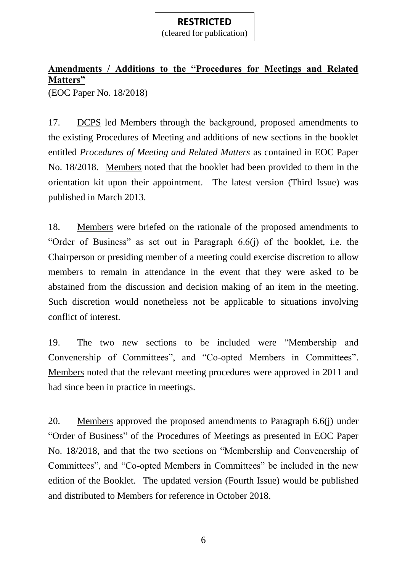(cleared for publication)

# **Amendments / Additions to the "Procedures for Meetings and Related Matters"**

(EOC Paper No. 18/2018)

17. DCPS led Members through the background, proposed amendments to the existing Procedures of Meeting and additions of new sections in the booklet entitled *Procedures of Meeting and Related Matters* as contained in EOC Paper No. 18/2018. Members noted that the booklet had been provided to them in the orientation kit upon their appointment. The latest version (Third Issue) was published in March 2013.

18. Members were briefed on the rationale of the proposed amendments to "Order of Business" as set out in Paragraph 6.6(j) of the booklet, i.e. the Chairperson or presiding member of a meeting could exercise discretion to allow members to remain in attendance in the event that they were asked to be abstained from the discussion and decision making of an item in the meeting. Such discretion would nonetheless not be applicable to situations involving conflict of interest.

19. The two new sections to be included were "Membership and Convenership of Committees", and "Co-opted Members in Committees". Members noted that the relevant meeting procedures were approved in 2011 and had since been in practice in meetings.

20. Members approved the proposed amendments to Paragraph 6.6(j) under "Order of Business" of the Procedures of Meetings as presented in EOC Paper No. 18/2018, and that the two sections on "Membership and Convenership of Committees", and "Co-opted Members in Committees" be included in the new edition of the Booklet. The updated version (Fourth Issue) would be published and distributed to Members for reference in October 2018.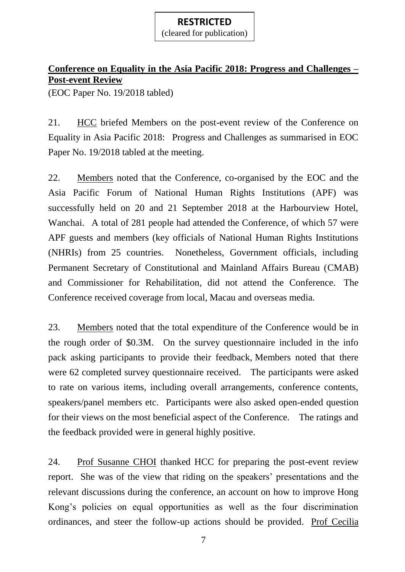(cleared for publication)

## **Conference on Equality in the Asia Pacific 2018: Progress and Challenges – Post-event Review**

(EOC Paper No. 19/2018 tabled)

21. HCC briefed Members on the post-event review of the Conference on Equality in Asia Pacific 2018: Progress and Challenges as summarised in EOC Paper No. 19/2018 tabled at the meeting.

22. Members noted that the Conference, co-organised by the EOC and the Asia Pacific Forum of National Human Rights Institutions (APF) was successfully held on 20 and 21 September 2018 at the Harbourview Hotel, Wanchai. A total of 281 people had attended the Conference, of which 57 were APF guests and members (key officials of National Human Rights Institutions (NHRIs) from 25 countries. Nonetheless, Government officials, including Permanent Secretary of Constitutional and Mainland Affairs Bureau (CMAB) and Commissioner for Rehabilitation, did not attend the Conference. The Conference received coverage from local, Macau and overseas media.

23. Members noted that the total expenditure of the Conference would be in the rough order of \$0.3M. On the survey questionnaire included in the info pack asking participants to provide their feedback, Members noted that there were 62 completed survey questionnaire received. The participants were asked to rate on various items, including overall arrangements, conference contents, speakers/panel members etc. Participants were also asked open-ended question for their views on the most beneficial aspect of the Conference. The ratings and the feedback provided were in general highly positive.

24. Prof Susanne CHOI thanked HCC for preparing the post-event review report. She was of the view that riding on the speakers' presentations and the relevant discussions during the conference, an account on how to improve Hong Kong's policies on equal opportunities as well as the four discrimination ordinances, and steer the follow-up actions should be provided. Prof Cecilia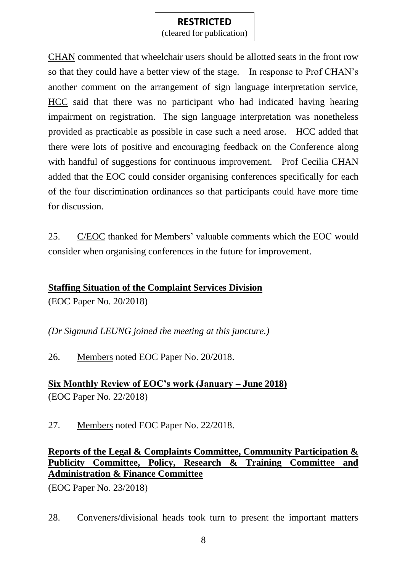(cleared for publication)

CHAN commented that wheelchair users should be allotted seats in the front row so that they could have a better view of the stage. In response to Prof CHAN's another comment on the arrangement of sign language interpretation service, HCC said that there was no participant who had indicated having hearing impairment on registration. The sign language interpretation was nonetheless provided as practicable as possible in case such a need arose. HCC added that there were lots of positive and encouraging feedback on the Conference along with handful of suggestions for continuous improvement. Prof Cecilia CHAN added that the EOC could consider organising conferences specifically for each of the four discrimination ordinances so that participants could have more time for discussion.

25. C/EOC thanked for Members' valuable comments which the EOC would consider when organising conferences in the future for improvement.

#### **Staffing Situation of the Complaint Services Division**

(EOC Paper No. 20/2018)

*(Dr Sigmund LEUNG joined the meeting at this juncture.)*

26. Members noted EOC Paper No. 20/2018.

**Six Monthly Review of EOC's work (January – June 2018)** (EOC Paper No. 22/2018)

27. Members noted EOC Paper No. 22/2018.

**Reports of the Legal & Complaints Committee, Community Participation & Publicity Committee, Policy, Research & Training Committee and Administration & Finance Committee**

(EOC Paper No. 23/2018)

28. Conveners/divisional heads took turn to present the important matters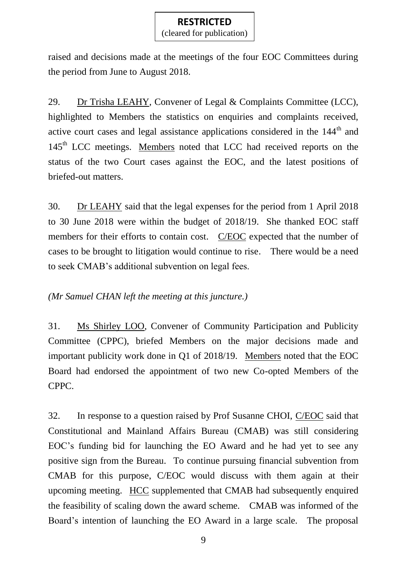(cleared for publication)

raised and decisions made at the meetings of the four EOC Committees during the period from June to August 2018.

29. Dr Trisha LEAHY, Convener of Legal & Complaints Committee (LCC), highlighted to Members the statistics on enquiries and complaints received, active court cases and legal assistance applications considered in the  $144<sup>th</sup>$  and 145<sup>th</sup> LCC meetings. Members noted that LCC had received reports on the status of the two Court cases against the EOC, and the latest positions of briefed-out matters.

30. Dr LEAHY said that the legal expenses for the period from 1 April 2018 to 30 June 2018 were within the budget of 2018/19. She thanked EOC staff members for their efforts to contain cost. C/EOC expected that the number of cases to be brought to litigation would continue to rise. There would be a need to seek CMAB's additional subvention on legal fees.

## *(Mr Samuel CHAN left the meeting at this juncture.)*

31. Ms Shirley LOO, Convener of Community Participation and Publicity Committee (CPPC), briefed Members on the major decisions made and important publicity work done in Q1 of 2018/19. Members noted that the EOC Board had endorsed the appointment of two new Co-opted Members of the CPPC.

32. In response to a question raised by Prof Susanne CHOI, C/EOC said that Constitutional and Mainland Affairs Bureau (CMAB) was still considering EOC's funding bid for launching the EO Award and he had yet to see any positive sign from the Bureau. To continue pursuing financial subvention from CMAB for this purpose, C/EOC would discuss with them again at their upcoming meeting. HCC supplemented that CMAB had subsequently enquired the feasibility of scaling down the award scheme. CMAB was informed of the Board's intention of launching the EO Award in a large scale. The proposal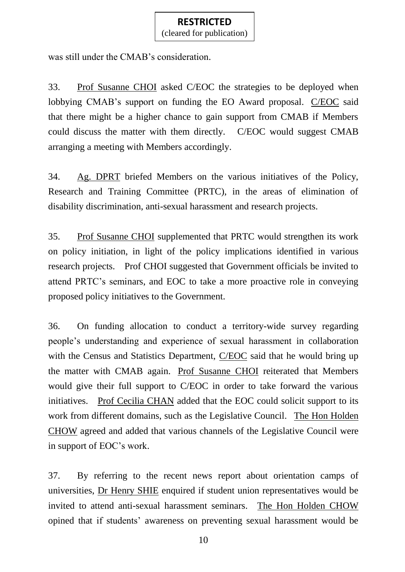(cleared for publication)

was still under the CMAB's consideration.

33. Prof Susanne CHOI asked C/EOC the strategies to be deployed when lobbying CMAB's support on funding the EO Award proposal. C/EOC said that there might be a higher chance to gain support from CMAB if Members could discuss the matter with them directly. C/EOC would suggest CMAB arranging a meeting with Members accordingly.

34. Ag. DPRT briefed Members on the various initiatives of the Policy, Research and Training Committee (PRTC), in the areas of elimination of disability discrimination, anti-sexual harassment and research projects.

35. Prof Susanne CHOI supplemented that PRTC would strengthen its work on policy initiation, in light of the policy implications identified in various research projects. Prof CHOI suggested that Government officials be invited to attend PRTC's seminars, and EOC to take a more proactive role in conveying proposed policy initiatives to the Government.

36. On funding allocation to conduct a territory-wide survey regarding people's understanding and experience of sexual harassment in collaboration with the Census and Statistics Department, C/EOC said that he would bring up the matter with CMAB again. Prof Susanne CHOI reiterated that Members would give their full support to C/EOC in order to take forward the various initiatives. Prof Cecilia CHAN added that the EOC could solicit support to its work from different domains, such as the Legislative Council. The Hon Holden CHOW agreed and added that various channels of the Legislative Council were in support of EOC's work.

37. By referring to the recent news report about orientation camps of universities, Dr Henry SHIE enquired if student union representatives would be invited to attend anti-sexual harassment seminars. The Hon Holden CHOW opined that if students' awareness on preventing sexual harassment would be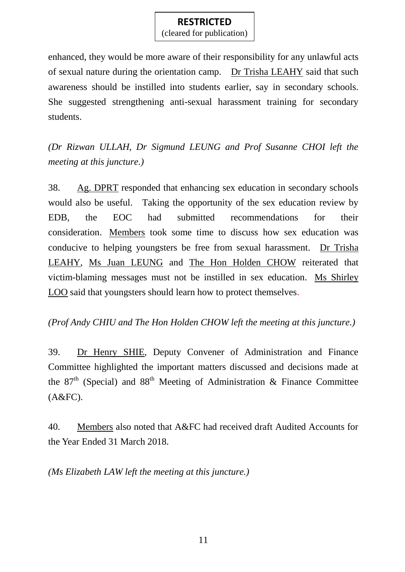(cleared for publication)

enhanced, they would be more aware of their responsibility for any unlawful acts of sexual nature during the orientation camp. Dr Trisha LEAHY said that such awareness should be instilled into students earlier, say in secondary schools. She suggested strengthening anti-sexual harassment training for secondary students.

*(Dr Rizwan ULLAH, Dr Sigmund LEUNG and Prof Susanne CHOI left the meeting at this juncture.)*

38. Ag. DPRT responded that enhancing sex education in secondary schools would also be useful. Taking the opportunity of the sex education review by EDB, the EOC had submitted recommendations for their consideration. Members took some time to discuss how sex education was conducive to helping youngsters be free from sexual harassment. Dr Trisha LEAHY, Ms Juan LEUNG and The Hon Holden CHOW reiterated that victim-blaming messages must not be instilled in sex education. Ms Shirley LOO said that youngsters should learn how to protect themselves.

*(Prof Andy CHIU and The Hon Holden CHOW left the meeting at this juncture.)*

39. Dr Henry SHIE, Deputy Convener of Administration and Finance Committee highlighted the important matters discussed and decisions made at the  $87<sup>th</sup>$  (Special) and  $88<sup>th</sup>$  Meeting of Administration & Finance Committee (A&FC).

40. Members also noted that A&FC had received draft Audited Accounts for the Year Ended 31 March 2018.

*(Ms Elizabeth LAW left the meeting at this juncture.)*